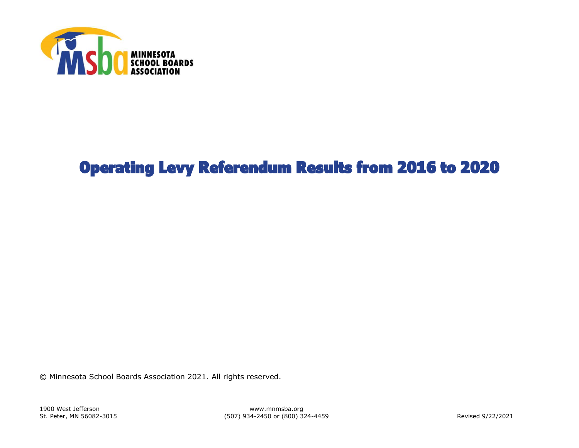

## Operating Levy Referendum Results from 2016 to 2020

© Minnesota School Boards Association 2021. All rights reserved.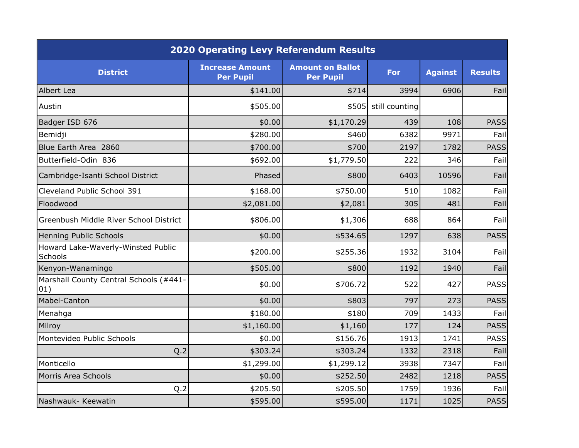| <b>2020 Operating Levy Referendum Results</b> |                                            |                                             |                |                |                |  |  |  |  |
|-----------------------------------------------|--------------------------------------------|---------------------------------------------|----------------|----------------|----------------|--|--|--|--|
| <b>District</b>                               | <b>Increase Amount</b><br><b>Per Pupil</b> | <b>Amount on Ballot</b><br><b>Per Pupil</b> | <b>For</b>     | <b>Against</b> | <b>Results</b> |  |  |  |  |
| Albert Lea                                    | \$141.00                                   | \$714                                       | 3994           | 6906           | Fail           |  |  |  |  |
| Austin                                        | \$505.00                                   | \$505                                       | still counting |                |                |  |  |  |  |
| Badger ISD 676                                | \$0.00                                     | \$1,170.29                                  | 439            | 108            | <b>PASS</b>    |  |  |  |  |
| Bemidji                                       | \$280.00                                   | \$460                                       | 6382           | 9971           | Fail           |  |  |  |  |
| Blue Earth Area 2860                          | \$700.00                                   | \$700                                       | 2197           | 1782           | <b>PASS</b>    |  |  |  |  |
| Butterfield-Odin 836                          | \$692.00                                   | \$1,779.50                                  | 222            | 346            | Fail           |  |  |  |  |
| Cambridge-Isanti School District              | Phased                                     | \$800                                       | 6403           | 10596          | Fail           |  |  |  |  |
| Cleveland Public School 391                   | \$168.00                                   | \$750.00                                    | 510            | 1082           | Fail           |  |  |  |  |
| Floodwood                                     | \$2,081.00                                 | \$2,081                                     | 305            | 481            | Fail           |  |  |  |  |
| Greenbush Middle River School District        | \$806.00                                   | \$1,306                                     | 688            | 864            | Fail           |  |  |  |  |
| Henning Public Schools                        | \$0.00                                     | \$534.65                                    | 1297           | 638            | <b>PASS</b>    |  |  |  |  |
| Howard Lake-Waverly-Winsted Public<br>Schools | \$200.00                                   | \$255.36                                    | 1932           | 3104           | Fail           |  |  |  |  |
| Kenyon-Wanamingo                              | \$505.00                                   | \$800                                       | 1192           | 1940           | Fail           |  |  |  |  |
| Marshall County Central Schools (#441-<br>01) | \$0.00                                     | \$706.72                                    | 522            | 427            | <b>PASS</b>    |  |  |  |  |
| Mabel-Canton                                  | \$0.00                                     | \$803                                       | 797            | 273            | <b>PASS</b>    |  |  |  |  |
| Menahga                                       | \$180.00                                   | \$180                                       | 709            | 1433           | Fail           |  |  |  |  |
| Milroy                                        | \$1,160.00                                 | \$1,160                                     | 177            | 124            | <b>PASS</b>    |  |  |  |  |
| Montevideo Public Schools                     | \$0.00                                     | \$156.76                                    | 1913           | 1741           | <b>PASS</b>    |  |  |  |  |
| Q.2                                           | \$303.24                                   | \$303.24                                    | 1332           | 2318           | Fail           |  |  |  |  |
| Monticello                                    | \$1,299.00                                 | \$1,299.12                                  | 3938           | 7347           | Fail           |  |  |  |  |
| Morris Area Schools                           | \$0.00                                     | \$252.50                                    | 2482           | 1218           | <b>PASS</b>    |  |  |  |  |
| Q.2                                           | \$205.50                                   | \$205.50                                    | 1759           | 1936           | Fail           |  |  |  |  |
| Nashwauk- Keewatin                            | \$595.00                                   | \$595.00                                    | 1171           | 1025           | <b>PASS</b>    |  |  |  |  |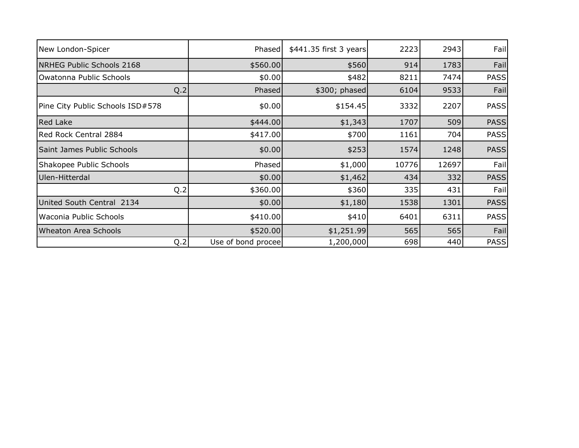| New London-Spicer                | Phased             | \$441.35 first 3 years | 2223  | 2943  | Fail        |
|----------------------------------|--------------------|------------------------|-------|-------|-------------|
| NRHEG Public Schools 2168        | \$560.00           | \$560                  | 914   | 1783  | Fail        |
| Owatonna Public Schools          | \$0.00             | \$482                  | 8211  | 7474  | <b>PASS</b> |
| Q.2                              | <b>Phased</b>      | \$300; phased          | 6104  | 9533  | Fail        |
| Pine City Public Schools ISD#578 | \$0.00             | \$154.45               | 3332  | 2207  | <b>PASS</b> |
| Red Lake                         | \$444.00           | \$1,343                | 1707  | 509   | <b>PASS</b> |
| Red Rock Central 2884            | \$417.00           | \$700                  | 1161  | 704   | <b>PASS</b> |
| Saint James Public Schools       | \$0.00             | \$253                  | 1574  | 1248  | <b>PASS</b> |
| Shakopee Public Schools          | Phased             | \$1,000                | 10776 | 12697 | Fail        |
| Ulen-Hitterdal                   | \$0.00             | \$1,462                | 434   | 332   | <b>PASS</b> |
| Q.2                              | \$360.00           | \$360                  | 335   | 431   | Fail        |
| United South Central 2134        | \$0.00             | \$1,180                | 1538  | 1301  | <b>PASS</b> |
| Waconia Public Schools           | \$410.00           | \$410                  | 6401  | 6311  | <b>PASS</b> |
| <b>Wheaton Area Schools</b>      | \$520.00           | \$1,251.99             | 565   | 565   | Fail        |
| Q.2                              | Use of bond procee | 1,200,000              | 698   | 440   | <b>PASS</b> |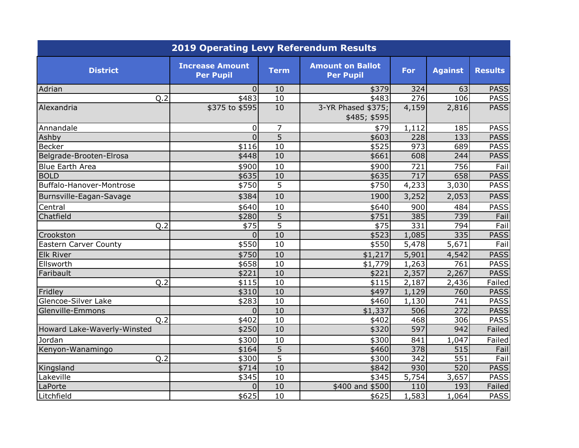| <b>2019 Operating Levy Referendum Results</b> |                                            |                 |                                             |            |                    |                |  |  |  |
|-----------------------------------------------|--------------------------------------------|-----------------|---------------------------------------------|------------|--------------------|----------------|--|--|--|
| <b>District</b>                               | <b>Increase Amount</b><br><b>Per Pupil</b> | <b>Term</b>     | <b>Amount on Ballot</b><br><b>Per Pupil</b> | <b>For</b> | <b>Against</b>     | <b>Results</b> |  |  |  |
| Adrian                                        | $\Omega$                                   | 10              | \$379                                       | 324        | 63                 | <b>PASS</b>    |  |  |  |
| Q.2                                           | \$483                                      | 10              | \$483                                       | 276        | 106                | <b>PASS</b>    |  |  |  |
| Alexandria                                    | \$375 to \$595                             | 10              | 3-YR Phased \$375;<br>\$485; \$595          | 4,159      | 2,816              | <b>PASS</b>    |  |  |  |
| Annandale                                     | 0                                          | $\overline{7}$  | \$79                                        | 1,112      | 185                | <b>PASS</b>    |  |  |  |
| Ashby                                         | $\overline{0}$                             | $\overline{5}$  | \$603                                       | 228        | 133                | <b>PASS</b>    |  |  |  |
| <b>Becker</b>                                 | \$116                                      | $\overline{10}$ | \$525                                       | 973        | 689                | <b>PASS</b>    |  |  |  |
| Belgrade-Brooten-Elrosa                       | \$448                                      | 10              | \$661                                       | 608        | 244                | <b>PASS</b>    |  |  |  |
| <b>Blue Earth Area</b>                        | \$900                                      | 10              | \$900                                       | 721        | 756                | Fail           |  |  |  |
| <b>BOLD</b>                                   | \$635                                      | 10              | \$635                                       | 717        | 658                | <b>PASS</b>    |  |  |  |
| Buffalo-Hanover-Montrose                      | \$750                                      | 5               | \$750                                       | 4,233      | 3,030              | <b>PASS</b>    |  |  |  |
| Burnsville-Eagan-Savage                       | \$384                                      | 10              | 1900                                        | 3,252      | 2,053              | <b>PASS</b>    |  |  |  |
| Central                                       | \$640                                      | 10              | \$640                                       | 900        | 484                | <b>PASS</b>    |  |  |  |
| Chatfield                                     | \$280                                      | $\overline{5}$  | \$751                                       | 385        | 739                | Fail           |  |  |  |
| Q.2                                           | \$75                                       | 5               | \$75                                        | 331        | 794                | Fail           |  |  |  |
| Crookston                                     | $\Omega$                                   | 10              | \$523                                       | 1,085      | 335                | <b>PASS</b>    |  |  |  |
| Eastern Carver County                         | \$550                                      | 10              | \$550                                       | 5,478      | 5,671              | Fail           |  |  |  |
| <b>Elk River</b>                              | \$750                                      | 10              | \$1,217                                     | 5,901      | 4,542              | <b>PASS</b>    |  |  |  |
| Ellsworth                                     | \$658                                      | 10              | \$1,779                                     | 1,263      | 761                | <b>PASS</b>    |  |  |  |
| Faribault                                     | \$221                                      | 10              | \$221                                       | 2,357      | 2,267              | <b>PASS</b>    |  |  |  |
| Q.2                                           | \$115                                      | 10              | \$115                                       | 2,187      | 2,436              | Failed         |  |  |  |
| Fridley                                       | \$310                                      | 10              | \$497                                       | 1,129      | 760                | <b>PASS</b>    |  |  |  |
| Glencoe-Silver Lake                           | \$283                                      | 10              | \$460                                       | 1,130      | 741                | <b>PASS</b>    |  |  |  |
| Glenville-Emmons                              | $\Omega$                                   | 10              | \$1,337                                     | 506        | 272                | <b>PASS</b>    |  |  |  |
| Q.2                                           | \$402                                      | 10              | \$402                                       | 468        | 306                | <b>PASS</b>    |  |  |  |
| Howard Lake-Waverly-Winsted                   | \$250                                      | 10              | \$320                                       | 597        | 942                | Failed         |  |  |  |
| Jordan                                        | \$300                                      | 10              | \$300                                       | 841        | 1,047              | Failed         |  |  |  |
| Kenyon-Wanamingo                              | \$164                                      | $\overline{5}$  | \$460                                       | 378        | 515                | Fail           |  |  |  |
| Q.2                                           | \$300                                      | $\overline{5}$  | \$300                                       | 342        | 551                | Fail           |  |  |  |
| Kingsland                                     | \$714                                      | 10              | \$842                                       | 930        | 520                | <b>PASS</b>    |  |  |  |
| Lakeville                                     | \$345                                      | $\overline{10}$ | \$345                                       | 5,754      | $\overline{3,657}$ | <b>PASS</b>    |  |  |  |
| LaPorte                                       | $\Omega$                                   | 10              | \$400 and \$500                             | 110        | 193                | Failed         |  |  |  |
| Litchfield                                    | \$625                                      | 10              | \$625                                       | 1,583      | 1,064              | <b>PASS</b>    |  |  |  |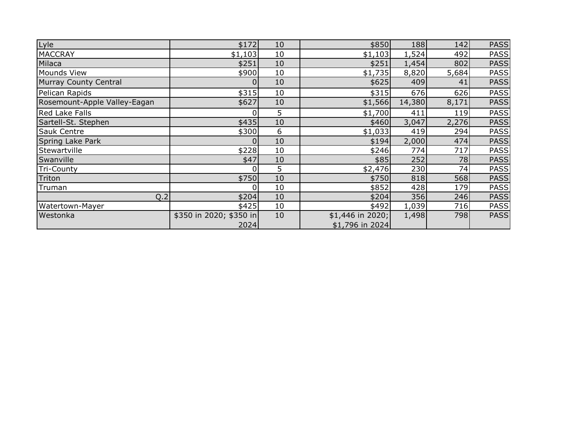| Lyle                         | \$172                   | 10 | \$850            | 188    | 142   | <b>PASS</b> |
|------------------------------|-------------------------|----|------------------|--------|-------|-------------|
| <b>MACCRAY</b>               | \$1,103                 | 10 | \$1,103          | 1,524  | 492   | <b>PASS</b> |
| Milaca                       | \$251                   | 10 | \$251            | 1,454  | 802   | <b>PASS</b> |
| Mounds View                  | \$900                   | 10 | \$1,735          | 8,820  | 5,684 | <b>PASS</b> |
| Murray County Central        |                         | 10 | \$625            | 409    | 41    | <b>PASS</b> |
| Pelican Rapids               | \$315                   | 10 | \$315            | 676    | 626   | <b>PASS</b> |
| Rosemount-Apple Valley-Eagan | \$627                   | 10 | \$1,566          | 14,380 | 8,171 | <b>PASS</b> |
| <b>Red Lake Falls</b>        | $\Omega$                | 5  | \$1,700          | 411    | 119   | <b>PASS</b> |
| Sartell-St. Stephen          | \$435                   | 10 | \$460            | 3,047  | 2,276 | <b>PASS</b> |
| <b>Sauk Centre</b>           | \$300                   | 6  | \$1,033          | 419    | 294   | <b>PASS</b> |
| Spring Lake Park             | $\Omega$                | 10 | \$194            | 2,000  | 474   | <b>PASS</b> |
| Stewartville                 | \$228                   | 10 | \$246            | 774    | 717   | <b>PASS</b> |
| Swanville                    | \$47                    | 10 | \$85]            | 252    | 78    | <b>PASS</b> |
| <b>Tri-County</b>            | 0                       | 5  | \$2,476          | 230    | 74    | <b>PASS</b> |
| Triton                       | \$750                   | 10 | \$750            | 818    | 568   | <b>PASS</b> |
| Truman                       | $\Omega$                | 10 | \$852            | 428    | 179   | <b>PASS</b> |
| Q.2                          | \$204]                  | 10 | \$204            | 356    | 246   | <b>PASS</b> |
| Watertown-Mayer              | \$425                   | 10 | \$492            | 1,039  | 716   | <b>PASS</b> |
| Westonka                     | \$350 in 2020; \$350 in | 10 | \$1,446 in 2020; | 1,498  | 798   | <b>PASS</b> |
|                              | 2024                    |    | \$1,796 in 2024  |        |       |             |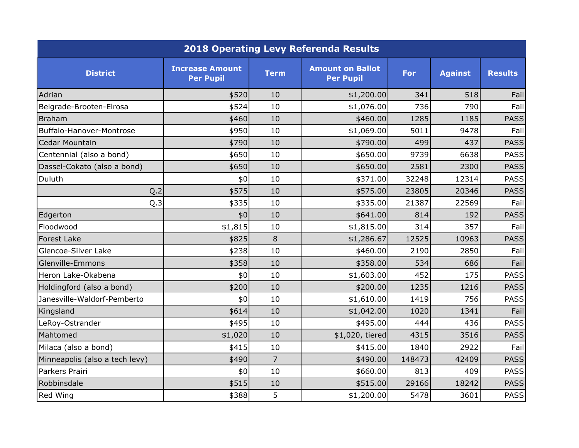| <b>2018 Operating Levy Referenda Results</b> |                                            |                |                                             |        |                |                |  |  |
|----------------------------------------------|--------------------------------------------|----------------|---------------------------------------------|--------|----------------|----------------|--|--|
| <b>District</b>                              | <b>Increase Amount</b><br><b>Per Pupil</b> | <b>Term</b>    | <b>Amount on Ballot</b><br><b>Per Pupil</b> | For    | <b>Against</b> | <b>Results</b> |  |  |
| Adrian                                       | \$520                                      | 10             | \$1,200.00                                  | 341    | 518            | Fail           |  |  |
| Belgrade-Brooten-Elrosa                      | \$524                                      | 10             | \$1,076.00                                  | 736    | 790            | Fail           |  |  |
| Braham                                       | \$460                                      | 10             | \$460.00                                    | 1285   | 1185           | <b>PASS</b>    |  |  |
| Buffalo-Hanover-Montrose                     | \$950                                      | 10             | \$1,069.00                                  | 5011   | 9478           | Fail           |  |  |
| Cedar Mountain                               | \$790                                      | 10             | \$790.00                                    | 499    | 437            | <b>PASS</b>    |  |  |
| Centennial (also a bond)                     | \$650                                      | 10             | \$650.00                                    | 9739   | 6638           | <b>PASS</b>    |  |  |
| Dassel-Cokato (also a bond)                  | \$650                                      | 10             | \$650.00                                    | 2581   | 2300           | <b>PASS</b>    |  |  |
| Duluth                                       | \$0                                        | 10             | \$371.00                                    | 32248  | 12314          | <b>PASS</b>    |  |  |
| Q.2                                          | \$575                                      | 10             | \$575.00                                    | 23805  | 20346          | <b>PASS</b>    |  |  |
| Q.3                                          | \$335                                      | 10             | \$335.00                                    | 21387  | 22569          | Fail           |  |  |
| Edgerton                                     | \$0                                        | 10             | \$641.00                                    | 814    | 192            | <b>PASS</b>    |  |  |
| Floodwood                                    | \$1,815                                    | 10             | \$1,815.00                                  | 314    | 357            | Fail           |  |  |
| <b>Forest Lake</b>                           | \$825                                      | 8              | \$1,286.67                                  | 12525  | 10963          | <b>PASS</b>    |  |  |
| Glencoe-Silver Lake                          | \$238                                      | 10             | \$460.00                                    | 2190   | 2850           | Fail           |  |  |
| Glenville-Emmons                             | \$358                                      | 10             | \$358.00                                    | 534    | 686            | Fail           |  |  |
| Heron Lake-Okabena                           | \$0                                        | 10             | \$1,603.00                                  | 452    | 175            | <b>PASS</b>    |  |  |
| Holdingford (also a bond)                    | \$200                                      | 10             | \$200.00                                    | 1235   | 1216           | <b>PASS</b>    |  |  |
| Janesville-Waldorf-Pemberto                  | \$0                                        | 10             | \$1,610.00                                  | 1419   | 756            | <b>PASS</b>    |  |  |
| Kingsland                                    | \$614                                      | 10             | \$1,042.00                                  | 1020   | 1341           | Fail           |  |  |
| LeRoy-Ostrander                              | \$495                                      | 10             | \$495.00                                    | 444    | 436            | <b>PASS</b>    |  |  |
| Mahtomed                                     | \$1,020                                    | 10             | \$1,020, tiered                             | 4315   | 3516           | <b>PASS</b>    |  |  |
| Milaca (also a bond)                         | \$415                                      | 10             | \$415.00                                    | 1840   | 2922           | Fail           |  |  |
| Minneapolis (also a tech levy)               | \$490                                      | $\overline{7}$ | \$490.00                                    | 148473 | 42409          | <b>PASS</b>    |  |  |
| Parkers Prairi                               | \$0                                        | 10             | \$660.00                                    | 813    | 409            | <b>PASS</b>    |  |  |
| Robbinsdale                                  | \$515                                      | 10             | \$515.00                                    | 29166  | 18242          | <b>PASS</b>    |  |  |
| Red Wing                                     | \$388                                      | 5              | \$1,200.00                                  | 5478   | 3601           | <b>PASS</b>    |  |  |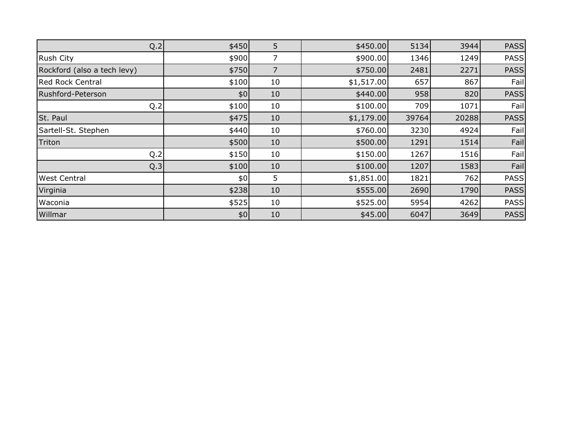| Q.2                         | \$450] | 5              | \$450.00   | 5134  | 3944  | <b>PASS</b> |
|-----------------------------|--------|----------------|------------|-------|-------|-------------|
| Rush City                   | \$900  | 7              | \$900.00   | 1346  | 1249  | <b>PASS</b> |
| Rockford (also a tech levy) | \$750  | $\overline{7}$ | \$750.00   | 2481  | 2271  | <b>PASS</b> |
| <b>Red Rock Central</b>     | \$100  | 10             | \$1,517.00 | 657   | 867   | Fail        |
| Rushford-Peterson           | \$0    | 10             | \$440.00   | 958   | 820   | <b>PASS</b> |
| Q.2                         | \$100  | 10             | \$100.00   | 709   | 1071  | Fail        |
| St. Paul                    | \$475  | 10             | \$1,179.00 | 39764 | 20288 | <b>PASS</b> |
| Sartell-St. Stephen         | \$440  | 10             | \$760.00   | 3230  | 4924  | Fail        |
| Triton                      | \$500  | 10             | \$500.00   | 1291  | 1514  | Fail        |
| Q.2                         | \$150  | 10             | \$150.00   | 1267  | 1516  | Fail        |
| Q.3                         | \$100  | 10             | \$100.00   | 1207  | 1583  | Fail        |
| <b>West Central</b>         | \$0    | 5              | \$1,851.00 | 1821  | 762   | <b>PASS</b> |
| Virginia                    | \$238  | 10             | \$555.00   | 2690  | 1790  | <b>PASS</b> |
| Waconia                     | \$525  | 10             | \$525.00   | 5954  | 4262  | <b>PASS</b> |
| Willmar                     | \$0    | 10             | \$45.00    | 6047  | 3649  | <b>PASS</b> |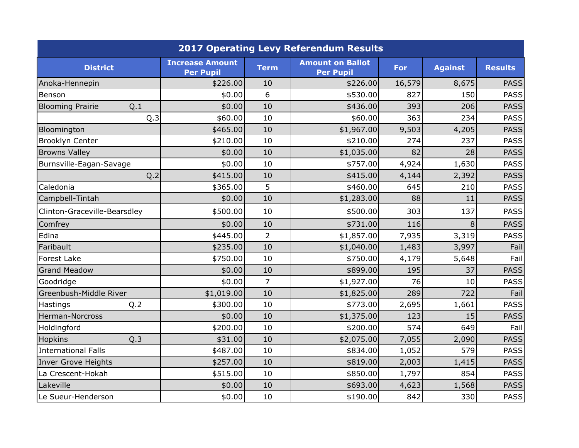|                                | <b>2017 Operating Levy Referendum Results</b> |                |                                             |        |                |                |  |  |
|--------------------------------|-----------------------------------------------|----------------|---------------------------------------------|--------|----------------|----------------|--|--|
| <b>District</b>                | <b>Increase Amount</b><br><b>Per Pupil</b>    | <b>Term</b>    | <b>Amount on Ballot</b><br><b>Per Pupil</b> | For    | <b>Against</b> | <b>Results</b> |  |  |
| Anoka-Hennepin                 | \$226.00                                      | 10             | \$226.00                                    | 16,579 | 8,675          | <b>PASS</b>    |  |  |
| Benson                         | \$0.00                                        | 6              | \$530.00                                    | 827    | 150            | <b>PASS</b>    |  |  |
| <b>Blooming Prairie</b><br>Q.1 | \$0.00                                        | 10             | \$436.00                                    | 393    | 206            | <b>PASS</b>    |  |  |
| Q.3                            | \$60.00                                       | 10             | \$60.00                                     | 363    | 234            | <b>PASS</b>    |  |  |
| Bloomington                    | \$465.00                                      | 10             | \$1,967.00                                  | 9,503  | 4,205          | <b>PASS</b>    |  |  |
| Brooklyn Center                | \$210.00                                      | 10             | \$210.00                                    | 274    | 237            | <b>PASS</b>    |  |  |
| <b>Browns Valley</b>           | \$0.00                                        | 10             | \$1,035.00                                  | 82     | 28             | <b>PASS</b>    |  |  |
| Burnsville-Eagan-Savage        | \$0.00                                        | 10             | \$757.00                                    | 4,924  | 1,630          | <b>PASS</b>    |  |  |
| Q.2                            | \$415.00                                      | 10             | \$415.00                                    | 4,144  | 2,392          | <b>PASS</b>    |  |  |
| Caledonia                      | \$365.00                                      | 5              | \$460.00                                    | 645    | 210            | <b>PASS</b>    |  |  |
| Campbell-Tintah                | \$0.00                                        | 10             | \$1,283.00                                  | 88     | 11             | <b>PASS</b>    |  |  |
| Clinton-Graceville-Bearsdley   | \$500.00                                      | 10             | \$500.00                                    | 303    | 137            | <b>PASS</b>    |  |  |
| Comfrey                        | \$0.00                                        | 10             | \$731.00                                    | 116    | 8              | <b>PASS</b>    |  |  |
| Edina                          | \$445.00                                      | $\overline{2}$ | \$1,857.00                                  | 7,935  | 3,319          | <b>PASS</b>    |  |  |
| Faribault                      | \$235.00                                      | 10             | \$1,040.00                                  | 1,483  | 3,997          | Fail           |  |  |
| <b>Forest Lake</b>             | \$750.00                                      | 10             | \$750.00                                    | 4,179  | 5,648          | Fail           |  |  |
| <b>Grand Meadow</b>            | \$0.00                                        | 10             | \$899.00                                    | 195    | 37             | <b>PASS</b>    |  |  |
| Goodridge                      | \$0.00                                        | $\overline{7}$ | \$1,927.00                                  | 76     | 10             | <b>PASS</b>    |  |  |
| Greenbush-Middle River         | \$1,019.00                                    | 10             | \$1,825.00                                  | 289    | 722            | Fail           |  |  |
| Q.2<br>Hastings                | \$300.00                                      | 10             | \$773.00                                    | 2,695  | 1,661          | <b>PASS</b>    |  |  |
| Herman-Norcross                | \$0.00                                        | 10             | \$1,375.00                                  | 123    | 15             | <b>PASS</b>    |  |  |
| Holdingford                    | \$200.00                                      | 10             | \$200.00                                    | 574    | 649            | Fail           |  |  |
| Hopkins<br>Q.3                 | \$31.00                                       | 10             | \$2,075.00                                  | 7,055  | 2,090          | <b>PASS</b>    |  |  |
| <b>International Falls</b>     | \$487.00                                      | 10             | \$834.00                                    | 1,052  | 579            | <b>PASS</b>    |  |  |
| Inver Grove Heights            | \$257.00                                      | 10             | \$819.00                                    | 2,003  | 1,415          | <b>PASS</b>    |  |  |
| La Crescent-Hokah              | \$515.00                                      | 10             | \$850.00                                    | 1,797  | 854            | <b>PASS</b>    |  |  |
| Lakeville                      | \$0.00                                        | 10             | \$693.00                                    | 4,623  | 1,568          | <b>PASS</b>    |  |  |
| Le Sueur-Henderson             | \$0.00                                        | 10             | \$190.00                                    | 842    | 330            | <b>PASS</b>    |  |  |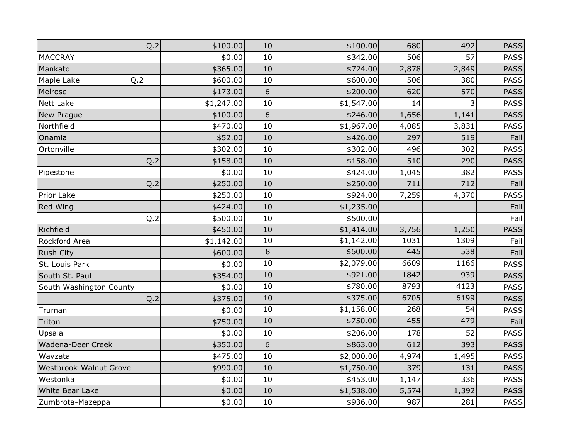| Q.2                     | \$100.00   | 10             | \$100.00   | 680   | 492   | <b>PASS</b> |
|-------------------------|------------|----------------|------------|-------|-------|-------------|
| <b>MACCRAY</b>          | \$0.00     | 10             | \$342.00   | 506   | 57    | <b>PASS</b> |
| Mankato                 | \$365.00   | 10             | \$724.00   | 2,878 | 2,849 | <b>PASS</b> |
| Maple Lake<br>Q.2       | \$600.00   | 10             | \$600.00   | 506   | 380   | <b>PASS</b> |
| Melrose                 | \$173.00   | 6              | \$200.00   | 620   | 570   | <b>PASS</b> |
| <b>Nett Lake</b>        | \$1,247.00 | 10             | \$1,547.00 | 14    |       | <b>PASS</b> |
| New Prague              | \$100.00   | 6              | \$246.00   | 1,656 | 1,141 | <b>PASS</b> |
| Northfield              | \$470.00   | 10             | \$1,967.00 | 4,085 | 3,831 | <b>PASS</b> |
| Onamia                  | \$52.00    | 10             | \$426.00   | 297   | 519   | Fail        |
| Ortonville              | \$302.00   | 10             | \$302.00   | 496   | 302   | <b>PASS</b> |
| Q.2                     | \$158.00   | 10             | \$158.00   | 510   | 290   | <b>PASS</b> |
| Pipestone               | \$0.00     | 10             | \$424.00   | 1,045 | 382   | <b>PASS</b> |
| Q.2                     | \$250.00   | 10             | \$250.00   | 711   | 712   | Fail        |
| Prior Lake              | \$250.00   | 10             | \$924.00   | 7,259 | 4,370 | <b>PASS</b> |
| Red Wing                | \$424.00   | 10             | \$1,235.00 |       |       | Fail        |
| Q.2                     | \$500.00   | 10             | \$500.00   |       |       | Fail        |
| Richfield               | \$450.00   | 10             | \$1,414.00 | 3,756 | 1,250 | <b>PASS</b> |
| Rockford Area           | \$1,142.00 | 10             | \$1,142.00 | 1031  | 1309  | Fail        |
| <b>Rush City</b>        | \$600.00   | $\overline{8}$ | \$600.00   | 445   | 538   | Fail        |
| St. Louis Park          | \$0.00     | 10             | \$2,079.00 | 6609  | 1166  | <b>PASS</b> |
| South St. Paul          | \$354.00   | 10             | \$921.00   | 1842  | 939   | <b>PASS</b> |
| South Washington County | \$0.00     | 10             | \$780.00   | 8793  | 4123  | <b>PASS</b> |
| Q.2                     | \$375.00   | 10             | \$375.00   | 6705  | 6199  | <b>PASS</b> |
| Truman                  | \$0.00     | 10             | \$1,158.00 | 268   | 54    | <b>PASS</b> |
| Triton                  | \$750.00   | 10             | \$750.00   | 455   | 479   | Fail        |
| Upsala                  | \$0.00     | 10             | \$206.00   | 178   | 52    | <b>PASS</b> |
| Wadena-Deer Creek       | \$350.00   | 6              | \$863.00   | 612   | 393   | <b>PASS</b> |
| Wayzata                 | \$475.00   | 10             | \$2,000.00 | 4,974 | 1,495 | <b>PASS</b> |
| Westbrook-Walnut Grove  | \$990.00   | 10             | \$1,750.00 | 379   | 131   | <b>PASS</b> |
| Westonka                | \$0.00     | 10             | \$453.00   | 1,147 | 336   | <b>PASS</b> |
| White Bear Lake         | \$0.00     | 10             | \$1,538.00 | 5,574 | 1,392 | <b>PASS</b> |
| Zumbrota-Mazeppa        | \$0.00     | $10\,$         | \$936.00   | 987   | 281   | <b>PASS</b> |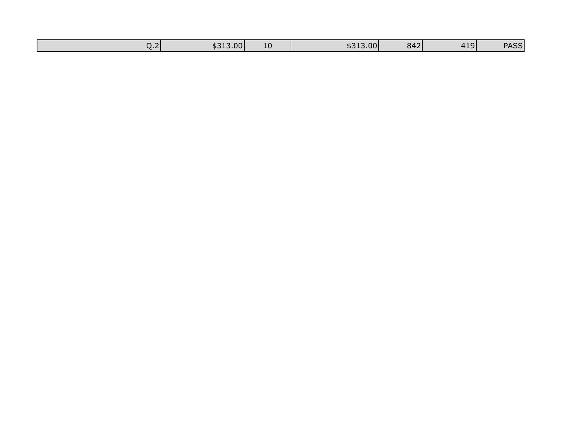| \$313.00<br>LC<br><u>.</u><br>--<br>___ | 7.17<br>842<br>\$313.00 | <b>PASS</b><br>11 Q I<br>.<br>77JJ |
|-----------------------------------------|-------------------------|------------------------------------|
|-----------------------------------------|-------------------------|------------------------------------|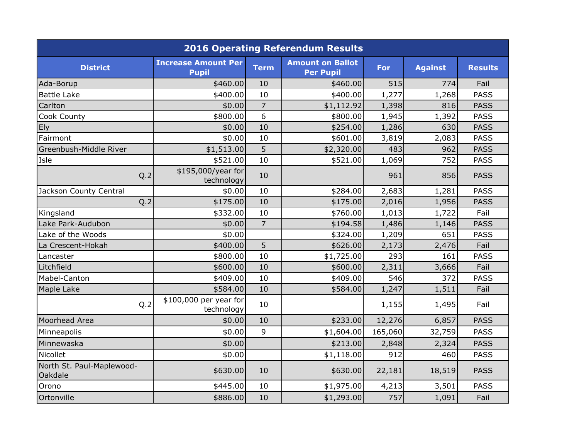|                                      |                                            |                | <b>2016 Operating Referendum Results</b>    |         |                |                |
|--------------------------------------|--------------------------------------------|----------------|---------------------------------------------|---------|----------------|----------------|
| <b>District</b>                      | <b>Increase Amount Per</b><br><b>Pupil</b> | <b>Term</b>    | <b>Amount on Ballot</b><br><b>Per Pupil</b> | For     | <b>Against</b> | <b>Results</b> |
| Ada-Borup                            | \$460.00                                   | 10             | \$460.00]                                   | 515     | 774            | Fail           |
| <b>Battle Lake</b>                   | \$400.00                                   | 10             | \$400.00                                    | 1,277   | 1,268          | <b>PASS</b>    |
| Carlton                              | \$0.00                                     | $\overline{7}$ | \$1,112.92                                  | 1,398   | 816            | <b>PASS</b>    |
| Cook County                          | \$800.00                                   | 6              | \$800.00                                    | 1,945   | 1,392          | <b>PASS</b>    |
| Ely                                  | \$0.00                                     | 10             | \$254.00                                    | 1,286   | 630            | <b>PASS</b>    |
| Fairmont                             | \$0.00                                     | 10             | \$601.00                                    | 3,819   | 2,083          | <b>PASS</b>    |
| Greenbush-Middle River               | \$1,513.00                                 | 5              | \$2,320.00                                  | 483     | 962            | <b>PASS</b>    |
| Isle                                 | \$521.00                                   | 10             | \$521.00                                    | 1,069   | 752            | <b>PASS</b>    |
| Q.2                                  | \$195,000/year for<br>technology           | 10             |                                             | 961     | 856            | <b>PASS</b>    |
| Jackson County Central               | \$0.00                                     | 10             | \$284.00                                    | 2,683   | 1,281          | <b>PASS</b>    |
| Q.2                                  | \$175.00                                   | 10             | \$175.00                                    | 2,016   | 1,956          | <b>PASS</b>    |
| Kingsland                            | \$332.00                                   | 10             | \$760.00                                    | 1,013   | 1,722          | Fail           |
| Lake Park-Audubon                    | \$0.00                                     | $\overline{7}$ | \$194.58                                    | 1,486   | 1,146          | <b>PASS</b>    |
| Lake of the Woods                    | \$0.00                                     |                | \$324.00                                    | 1,209   | 651            | <b>PASS</b>    |
| La Crescent-Hokah                    | \$400.00                                   | 5              | \$626.00                                    | 2,173   | 2,476          | Fail           |
| Lancaster                            | \$800.00                                   | 10             | \$1,725.00                                  | 293     | 161            | <b>PASS</b>    |
| Litchfield                           | \$600.00                                   | 10             | \$600.00                                    | 2,311   | 3,666          | Fail           |
| Mabel-Canton                         | \$409.00                                   | 10             | \$409.00                                    | 546     | 372            | <b>PASS</b>    |
| Maple Lake                           | \$584.00                                   | 10             | \$584.00                                    | 1,247   | 1,511          | Fail           |
| Q.2                                  | \$100,000 per year for<br>technology       | 10             |                                             | 1,155   | 1,495          | Fail           |
| Moorhead Area                        | \$0.00                                     | 10             | \$233.00                                    | 12,276  | 6,857          | <b>PASS</b>    |
| Minneapolis                          | \$0.00                                     | 9              | \$1,604.00                                  | 165,060 | 32,759         | <b>PASS</b>    |
| Minnewaska                           | \$0.00                                     |                | \$213.00                                    | 2,848   | 2,324          | <b>PASS</b>    |
| Nicollet                             | \$0.00                                     |                | \$1,118.00                                  | 912     | 460            | <b>PASS</b>    |
| North St. Paul-Maplewood-<br>Oakdale | \$630.00                                   | 10             | \$630.00                                    | 22,181  | 18,519         | <b>PASS</b>    |
| Orono                                | \$445.00                                   | 10             | \$1,975.00                                  | 4,213   | 3,501          | <b>PASS</b>    |
| Ortonville                           | \$886.00                                   | 10             | \$1,293.00                                  | 757     | 1,091          | Fail           |